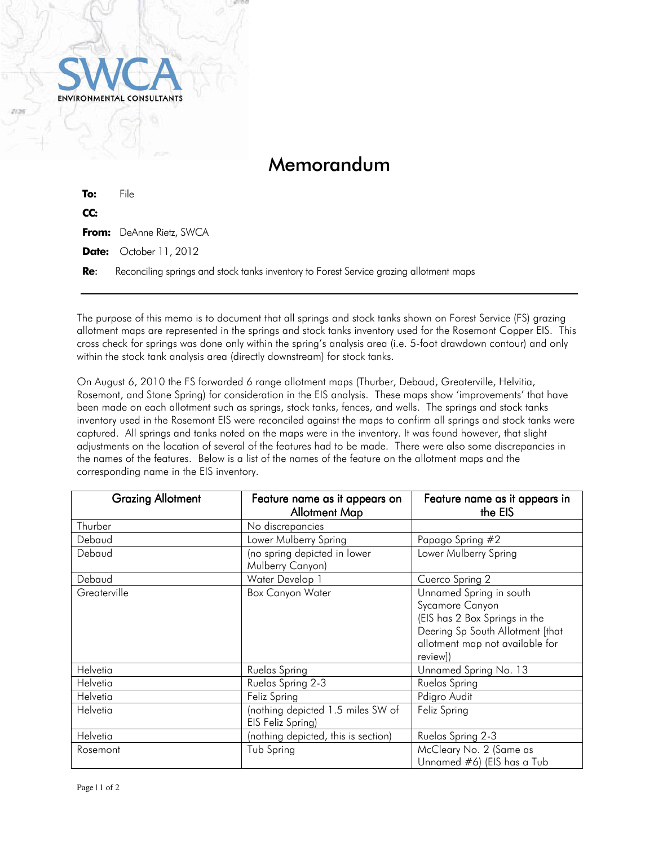

## Memorandum

| To: | File                                                                                   |
|-----|----------------------------------------------------------------------------------------|
| CC: |                                                                                        |
|     | <b>From:</b> DeAnne Rietz, SWCA                                                        |
|     | <b>Date:</b> October 11, 2012                                                          |
| Re: | Reconciling springs and stock tanks inventory to Forest Service grazing allotment maps |

The purpose of this memo is to document that all springs and stock tanks shown on Forest Service (FS) grazing allotment maps are represented in the springs and stock tanks inventory used for the Rosemont Copper EIS. This cross check for springs was done only within the spring's analysis area (i.e. 5-foot drawdown contour) and only within the stock tank analysis area (directly downstream) for stock tanks.

On August 6, 2010 the FS forwarded 6 range allotment maps (Thurber, Debaud, Greaterville, Helvitia, Rosemont, and Stone Spring) for consideration in the EIS analysis. These maps show 'improvements' that have been made on each allotment such as springs, stock tanks, fences, and wells. The springs and stock tanks inventory used in the Rosemont EIS were reconciled against the maps to confirm all springs and stock tanks were captured. All springs and tanks noted on the maps were in the inventory. It was found however, that slight adjustments on the location of several of the features had to be made. There were also some discrepancies in the names of the features. Below is a list of the names of the feature on the allotment maps and the corresponding name in the EIS inventory.

| <b>Grazing Allotment</b> | Feature name as it appears on       | Feature name as it appears in    |
|--------------------------|-------------------------------------|----------------------------------|
|                          | <b>Allotment Map</b>                | the EIS                          |
| Thurber                  | No discrepancies                    |                                  |
| Debaud                   | Lower Mulberry Spring               | Papago Spring #2                 |
| Debaud                   | (no spring depicted in lower        | Lower Mulberry Spring            |
|                          | Mulberry Canyon)                    |                                  |
| Debaud                   | Water Develop 1                     | Cuerco Spring 2                  |
| Greaterville             | <b>Box Canyon Water</b>             | Unnamed Spring in south          |
|                          |                                     | Sycamore Canyon                  |
|                          |                                     | (EIS has 2 Box Springs in the    |
|                          |                                     | Deering Sp South Allotment [that |
|                          |                                     | allotment map not available for  |
|                          |                                     | review])                         |
| Helvetia                 | Ruelas Spring                       | Unnamed Spring No. 13            |
| Helvetia                 | Ruelas Spring 2-3                   | Ruelas Spring                    |
| Helvetia                 | Feliz Spring                        | Pdigro Audit                     |
| Helvetia                 | (nothing depicted 1.5 miles SW of   | Feliz Spring                     |
|                          | EIS Feliz Spring)                   |                                  |
| Helvetia                 | (nothing depicted, this is section) | Ruelas Spring 2-3                |
| Rosemont                 | Tub Spring                          | McCleary No. 2 (Same as          |
|                          |                                     | Unnamed #6) (EIS has a Tub       |